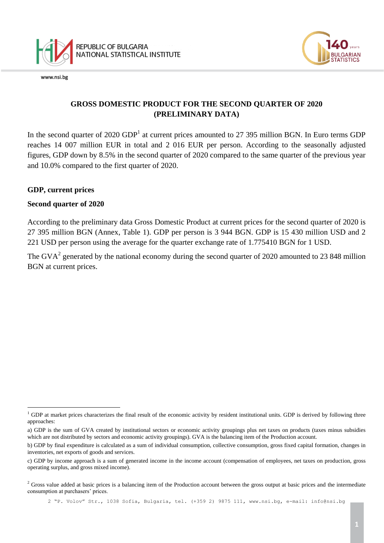



# **GROSS DOMESTIC PRODUCT FOR THE SECOND QUARTER OF 2020 (PRELIMINARY DATA)**

In the second quarter of 2020  $GDP<sup>1</sup>$  at current prices amounted to 27 395 million BGN. In Euro terms GDP reaches 14 007 million EUR in total and 2 016 EUR per person. According to the seasonally adjusted figures, GDP down by 8.5% in the second quarter of 2020 compared to the same quarter of the previous year and 10.0% compared to the first quarter of 2020.

## **GDP, current prices**

a<br>B

#### **Second quarter of 2020**

According to the preliminary data Gross Domestic Product at current prices for the second quarter of 2020 is 27 395 million BGN (Annex, Table 1). GDP per person is 3 944 BGN. GDP is 15 430 million USD and 2 221 USD per person using the average for the quarter exchange rate of 1.775410 BGN for 1 USD.

The GVA<sup>2</sup> generated by the national economy during the second quarter of 2020 amounted to 23 848 million BGN at current prices.

2 "P. Volov" Str., 1038 Sofia, Bulgaria, tel. (+359 2) 9875 111, [www.nsi.bg,](http://www.nsi.bg/) e-mail: info@nsi.bg

 $1$  GDP at market prices characterizes the final result of the economic activity by resident institutional units. GDP is derived by following three approaches:

a) GDP is the sum of GVA created by institutional sectors or economic activity groupings plus net taxes on products (taxes minus subsidies which are not distributed by sectors and economic activity groupings). GVA is the balancing item of the Production account.

b) GDP by final expenditure is calculated as a sum of individual consumption, collective consumption, gross fixed capital formation, changes in inventories, net exports of goods and services.

c) GDP by income approach is a sum of generated income in the income account (compensation of employees, net taxes on production, gross operating surplus, and gross mixed income).

<sup>&</sup>lt;sup>2</sup> Gross value added at basic prices is a balancing item of the Production account between the gross output at basic prices and the intermediate consumption at purchasers' prices.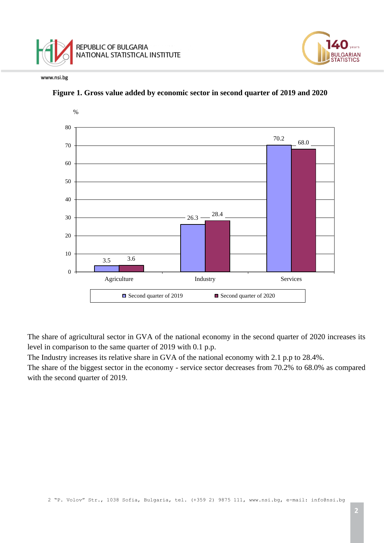







 **Figure 1. Gross value added by economic sector in second quarter of 2019 and 2020**

The share of agricultural sector in GVA of the national economy in the second quarter of 2020 increases its level in comparison to the same quarter of 2019 with 0.1 p.p.

The Industry increases its relative share in GVA of the national economy with 2.1 p.p to 28.4%.

The share of the biggest sector in the economy - service sector decreases from 70.2% to 68.0% as compared with the second quarter of 2019.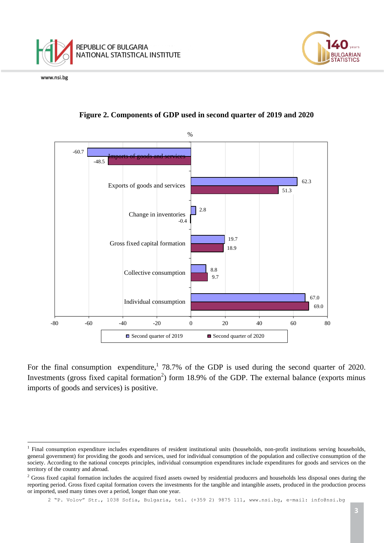

a<br>B



**Figure 2. Components of GDP used in second quarter of 2019 and 2020**

For the final consumption expenditure,  $178.7\%$  of the GDP is used during the second quarter of 2020. Investments (gross fixed capital formation<sup>2</sup>) form 18.9% of the GDP. The external balance (exports minus imports of goods and services) is positive.

<sup>&</sup>lt;sup>1</sup> Final consumption expenditure includes expenditures of resident institutional units (households, non-profit institutions serving households, general government) for providing the goods and services, used for individual consumption of the population and collective consumption of the society. According to the national concepts principles, individual consumption expenditures include expenditures for goods and services on the territory of the country and abroad.

 $2$  Gross fixed capital formation includes the acquired fixed assets owned by residential producers and households less disposal ones during the reporting period. Gross fixed capital formation covers the investments for the tangible and intangible assets, produced in the production process or imported, used many times over a period, longer than one year.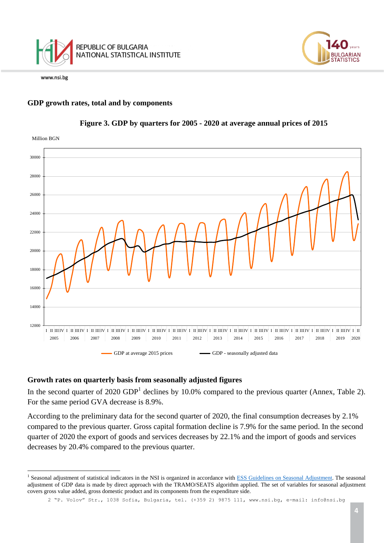

a<br>B

#### **GDP growth rates, total and by components**



#### **Figure 3. GDP by quarters for 2005 - 2020 at average annual prices of 2015**

**Growth rates on quarterly basis from seasonally adjusted figures**

In the second quarter of 2020 GDP<sup>1</sup> declines by 10.0% compared to the previous quarter (Annex, Table 2). For the same period GVA decrease is 8.9%.

According to the preliminary data for the second quarter of 2020, the final consumption decreases by 2.1% compared to the previous quarter. Gross capital formation decline is 7.9% for the same period. In the second quarter of 2020 the export of goods and services decreases by 22.1% and the import of goods and services decreases by 20.4% compared to the previous quarter.

<sup>&</sup>lt;sup>1</sup> Seasonal adjustment of statistical indicators in the NSI is organized in accordance with [ESS Guidelines on Seasonal Adjustment.](http://ec.europa.eu/eurostat/delegate/product?code=KS-RA-09-006) The seasonal adjustment of GDP data is made by direct approach with the TRAMO/SEATS algorithm applied. The set of variables for seasonal adjustment covers gross value added, gross domestic product and its components from the expenditure side.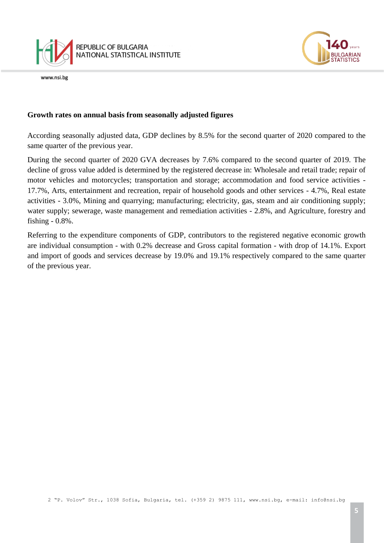



#### **Growth rates on annual basis from seasonally adjusted figures**

According seasonally adjusted data, GDP declines by 8.5% for the second quarter of 2020 compared to the same quarter of the previous year.

During the second quarter of 2020 GVA decreases by 7.6% compared to the second quarter of 2019. The decline of gross value added is determined by the registered decrease in: Wholesale and retail trade; repair of motor vehicles and motorcycles; transportation and storage; accommodation and food service activities - 17.7%, Arts, entertainment and recreation, repair of household goods and other services - 4.7%, Real estate activities - 3.0%, Mining and quarrying; manufacturing; electricity, gas, steam and air conditioning supply; water supply; sewerage, waste management and remediation activities - 2.8%, and Agriculture, forestry and fishing - 0.8%.

Referring to the expenditure components of GDP, contributors to the registered negative economic growth are individual consumption - with 0.2% decrease and Gross capital formation - with drop of 14.1%. Export and import of goods and services decrease by 19.0% and 19.1% respectively compared to the same quarter of the previous year.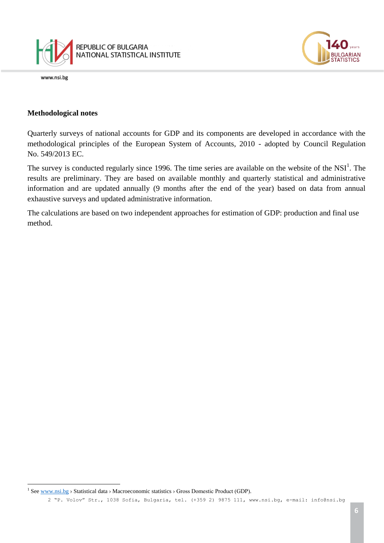

a<br>B



#### **Methodological notes**

Quarterly surveys of national accounts for GDP and its components are developed in accordance with the methodological principles of the European System of Accounts, 2010 - adopted by Council Regulation No. 549/2013 EC.

The survey is conducted regularly since 1996. The time series are available on the website of the NSI<sup>1</sup>. The results are preliminary. They are based on available monthly and quarterly statistical and administrative information and are updated annually (9 months after the end of the year) based on data from annual exhaustive surveys and updated administrative information.

The calculations are based on two independent approaches for estimation of GDP: production and final use method.

<sup>&</sup>lt;sup>1</sup> See [www.nsi.bg](http://www.nsi.bg/) > Statistical data > Macroeconomic statistics > Gross Domestic Product (GDP).

<sup>2</sup> "P. Volov" Str., 1038 Sofia, Bulgaria, tel. (+359 2) 9875 111, [www.nsi.bg,](http://www.nsi.bg/) e-mail: info@nsi.bg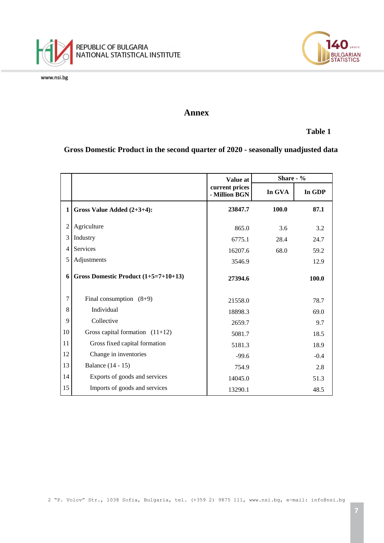



## **Annex**

**Table 1**

# **Gross Domestic Product in the second quarter of 2020 - seasonally unadjusted data**

|                |                                        | Value at                        | Share - % |        |  |
|----------------|----------------------------------------|---------------------------------|-----------|--------|--|
|                |                                        | current prices<br>- Million BGN | In GVA    | In GDP |  |
| 1              | Gross Value Added (2+3+4):             | 23847.7                         | 100.0     | 87.1   |  |
| $\overline{2}$ | Agriculture                            | 865.0                           | 3.6       | 3.2    |  |
| 3              | Industry                               | 6775.1                          | 28.4      | 24.7   |  |
| $\overline{4}$ | Services                               | 16207.6                         | 68.0      | 59.2   |  |
| 5              | Adjustments                            | 3546.9                          |           | 12.9   |  |
| 6              | Gross Domestic Product $(1+5=7+10+13)$ | 27394.6                         |           | 100.0  |  |
| 7              | Final consumption $(8+9)$              | 21558.0                         |           | 78.7   |  |
| 8              | Individual                             | 18898.3                         |           | 69.0   |  |
| 9              | Collective                             | 2659.7                          |           | 9.7    |  |
| 10             | Gross capital formation $(11+12)$      | 5081.7                          |           | 18.5   |  |
| 11             | Gross fixed capital formation          | 5181.3                          |           | 18.9   |  |
| 12             | Change in inventories                  | $-99.6$                         |           | $-0.4$ |  |
| 13             | <b>Balance</b> (14 - 15)               | 754.9                           |           | 2.8    |  |
| 14             | Exports of goods and services          | 14045.0                         |           | 51.3   |  |
| 15             | Imports of goods and services          | 13290.1                         |           | 48.5   |  |